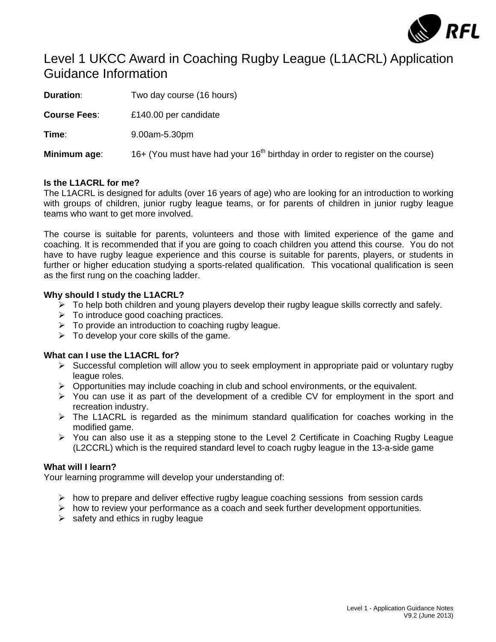

# Level 1 UKCC Award in Coaching Rugby League (L1ACRL) Application Guidance Information

**Duration:** Two day course (16 hours) **Course Fees**: £140.00 per candidate **Time**: 9.00am-5.30pm **Minimum age:** 16+ (You must have had your 16<sup>th</sup> birthday in order to register on the course)

# **Is the L1ACRL for me?**

The L1ACRL is designed for adults (over 16 years of age) who are looking for an introduction to working with groups of children, junior rugby league teams, or for parents of children in junior rugby league teams who want to get more involved.

The course is suitable for parents, volunteers and those with limited experience of the game and coaching. It is recommended that if you are going to coach children you attend this course. You do not have to have rugby league experience and this course is suitable for parents, players, or students in further or higher education studying a sports-related qualification. This vocational qualification is seen as the first rung on the coaching ladder.

# **Why should I study the L1ACRL?**

- $\triangleright$  To help both children and young players develop their rugby league skills correctly and safely.
- $\triangleright$  To introduce good coaching practices.
- $\triangleright$  To provide an introduction to coaching rugby league.
- $\triangleright$  To develop your core skills of the game.

# **What can I use the L1ACRL for?**

- $\triangleright$  Successful completion will allow you to seek employment in appropriate paid or voluntary rugby league roles.
- $\triangleright$  Opportunities may include coaching in club and school environments, or the equivalent.
- $\triangleright$  You can use it as part of the development of a credible CV for employment in the sport and recreation industry.
- $\triangleright$  The L1ACRL is regarded as the minimum standard qualification for coaches working in the modified game.
- $\triangleright$  You can also use it as a stepping stone to the Level 2 Certificate in Coaching Rugby League (L2CCRL) which is the required standard level to coach rugby league in the 13-a-side game

# **What will I learn?**

Your learning programme will develop your understanding of:

- $\triangleright$  how to prepare and deliver effective rugby league coaching sessions from session cards
- ¾ how to review your performance as a coach and seek further development opportunities.
- $\triangleright$  safety and ethics in rugby league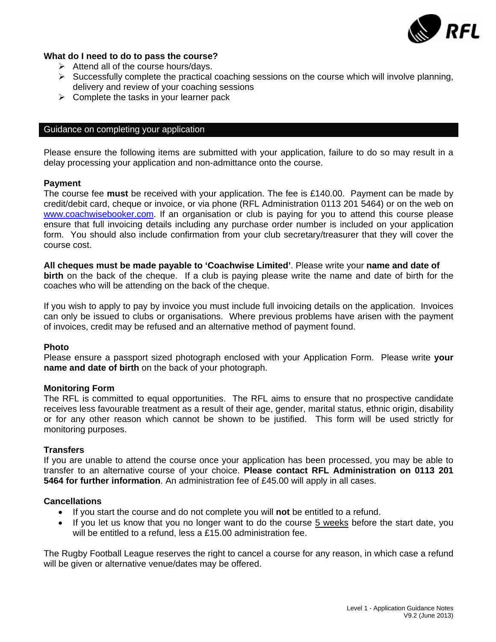

# **What do I need to do to pass the course?**

- $\triangleright$  Attend all of the course hours/days.
- $\triangleright$  Successfully complete the practical coaching sessions on the course which will involve planning, delivery and review of your coaching sessions
- $\triangleright$  Complete the tasks in your learner pack

# Guidance on completing your application

Please ensure the following items are submitted with your application, failure to do so may result in a delay processing your application and non-admittance onto the course.

#### **Payment**

The course fee **must** be received with your application. The fee is £140.00. Payment can be made by credit/debit card, cheque or invoice, or via phone (RFL Administration 0113 201 5464) or on the web on [www.coachwisebooker.com.](http://www.coachwisebooker.com/) If an organisation or club is paying for you to attend this course please ensure that full invoicing details including any purchase order number is included on your application form. You should also include confirmation from your club secretary/treasurer that they will cover the course cost.

**All cheques must be made payable to 'Coachwise Limited'**. Please write your **name and date of birth** on the back of the cheque. If a club is paying please write the name and date of birth for the coaches who will be attending on the back of the cheque.

If you wish to apply to pay by invoice you must include full invoicing details on the application. Invoices can only be issued to clubs or organisations. Where previous problems have arisen with the payment of invoices, credit may be refused and an alternative method of payment found.

# **Photo**

Please ensure a passport sized photograph enclosed with your Application Form. Please write **your name and date of birth** on the back of your photograph.

#### **Monitoring Form**

The RFL is committed to equal opportunities. The RFL aims to ensure that no prospective candidate receives less favourable treatment as a result of their age, gender, marital status, ethnic origin, disability or for any other reason which cannot be shown to be justified. This form will be used strictly for monitoring purposes.

# **Transfers**

If you are unable to attend the course once your application has been processed, you may be able to transfer to an alternative course of your choice. **Please contact RFL Administration on 0113 201 5464 for further information**. An administration fee of £45.00 will apply in all cases.

# **Cancellations**

- If you start the course and do not complete you will **not** be entitled to a refund.
- If you let us know that you no longer want to do the course 5 weeks before the start date, you will be entitled to a refund, less a £15.00 administration fee.

The Rugby Football League reserves the right to cancel a course for any reason, in which case a refund will be given or alternative venue/dates may be offered.